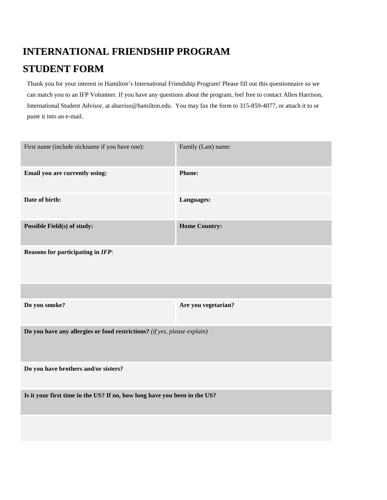## **INTERNATIONAL FRIENDSHIP PROGRAM STUDENT FORM**

Thank you for your interest in Hamilton's International Friendship Program! Please fill out this questionnaire so we can match you to an IFP Volunteer. If you have any questions about the program, feel free to contact Allen Harrison, International Student Advisor, at aharriso@hamilton.edu. You may fax the form to 315-859-4077, or attach it to or paste it into an e-mail.

| Family (Last) name:                                                       |  |  |  |
|---------------------------------------------------------------------------|--|--|--|
| Phone:                                                                    |  |  |  |
| Languages:                                                                |  |  |  |
| <b>Home Country:</b>                                                      |  |  |  |
| Reasons for participating in IFP:                                         |  |  |  |
|                                                                           |  |  |  |
| Are you vegetarian?                                                       |  |  |  |
| Do you have any allergies or food restrictions? (if yes, please explain)  |  |  |  |
| Do you have brothers and/or sisters?                                      |  |  |  |
| Is it your first time in the US? If no, how long have you been in the US? |  |  |  |
|                                                                           |  |  |  |
|                                                                           |  |  |  |
|                                                                           |  |  |  |